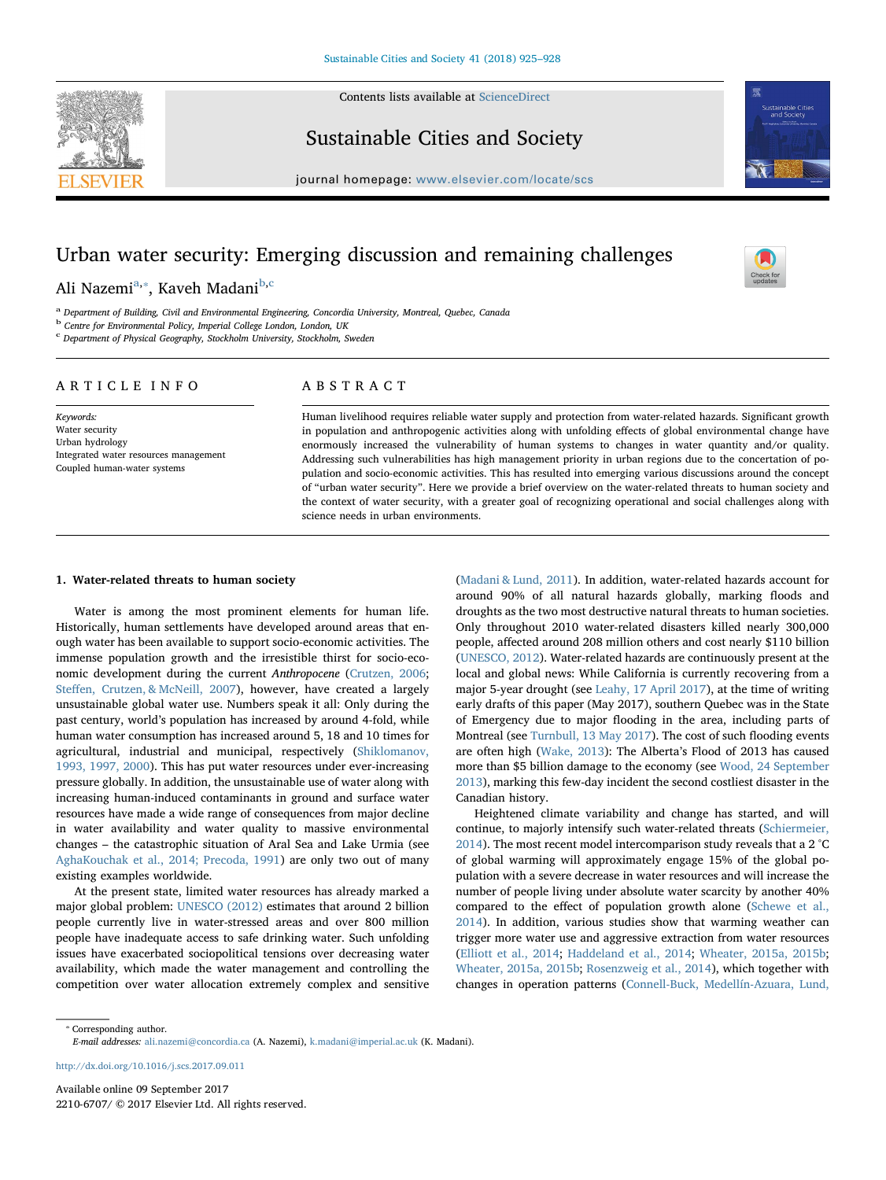Contents lists available at [ScienceDirect](http://www.sciencedirect.com/science/journal/22106707)



Sustainable Cities and Society



 $\sum_{\text{the}}$ 

 $j<sub>i</sub>$ , where  $i<sub>i</sub>$  is the page of location of location  $s$ 

# Urban water security: Emerging discussion and remaining challenges

Ali Nazemi<sup>[a,](#page-0-0)</sup>\*, Kaveh Madani<sup>[b](#page-0-2),[c](#page-0-3)</sup>

<span id="page-0-0"></span><sup>a</sup> Department of Building, Civil and Environmental Engineering, Concordia University, Montreal, Quebec, Canada

<span id="page-0-2"></span><sup>b</sup> Centre for Environmental Policy, Imperial College London, London, UK

<span id="page-0-3"></span><sup>c</sup> Department of Physical Geography, Stockholm University, Stockholm, Sweden

### ARTICLE INFO

Keywords: Water security Urban hydrology Integrated water resources management Coupled human-water systems

## ABSTRACT

Human livelihood requires reliable water supply and protection from water-related hazards. Significant growth in population and anthropogenic activities along with unfolding effects of global environmental change have enormously increased the vulnerability of human systems to changes in water quantity and/or quality. Addressing such vulnerabilities has high management priority in urban regions due to the concertation of population and socio-economic activities. This has resulted into emerging various discussions around the concept of "urban water security". Here we provide a brief overview on the water-related threats to human society and the context of water security, with a greater goal of recognizing operational and social challenges along with science needs in urban environments.

#### 1. Water-related threats to human society

Water is among the most prominent elements for human life. Historically, human settlements have developed around areas that enough water has been available to support socio-economic activities. The immense population growth and the irresistible thirst for socio-economic development during the current Anthropocene [\(Crutzen, 2006](#page-2-0); Steff[en, Crutzen, & McNeill, 2007\)](#page-3-0), however, have created a largely unsustainable global water use. Numbers speak it all: Only during the past century, world's population has increased by around 4-fold, while human water consumption has increased around 5, 18 and 10 times for agricultural, industrial and municipal, respectively [\(Shiklomanov,](#page-3-1) [1993, 1997, 2000\)](#page-3-1). This has put water resources under ever-increasing pressure globally. In addition, the unsustainable use of water along with increasing human-induced contaminants in ground and surface water resources have made a wide range of consequences from major decline in water availability and water quality to massive environmental changes – the catastrophic situation of Aral Sea and Lake Urmia (see [AghaKouchak et al., 2014; Precoda, 1991\)](#page-2-1) are only two out of many existing examples worldwide.

At the present state, limited water resources has already marked a major global problem: [UNESCO \(2012\)](#page-3-2) estimates that around 2 billion people currently live in water-stressed areas and over 800 million people have inadequate access to safe drinking water. Such unfolding issues have exacerbated sociopolitical tensions over decreasing water availability, which made the water management and controlling the competition over water allocation extremely complex and sensitive

([Madani & Lund, 2011\)](#page-2-2). In addition, water-related hazards account for around 90% of all natural hazards globally, marking floods and droughts as the two most destructive natural threats to human societies. Only throughout 2010 water-related disasters killed nearly 300,000 people, affected around 208 million others and cost nearly \$110 billion ([UNESCO, 2012\)](#page-3-2). Water-related hazards are continuously present at the local and global news: While California is currently recovering from a major 5-year drought (see [Leahy, 17 April 2017\)](#page-2-3), at the time of writing early drafts of this paper (May 2017), southern Quebec was in the State of Emergency due to major flooding in the area, including parts of Montreal (see [Turnbull, 13 May 2017](#page-3-3)). The cost of such flooding events are often high ([Wake, 2013](#page-3-4)): The Alberta's Flood of 2013 has caused more than \$5 billion damage to the economy (see [Wood, 24 September](#page-3-5) [2013\)](#page-3-5), marking this few-day incident the second costliest disaster in the Canadian history.

Heightened climate variability and change has started, and will continue, to majorly intensify such water-related threats [\(Schiermeier,](#page-2-4) [2014\)](#page-2-4). The most recent model intercomparison study reveals that a 2 °C of global warming will approximately engage 15% of the global population with a severe decrease in water resources and will increase the number of people living under absolute water scarcity by another 40% compared to the effect of population growth alone [\(Schewe et al.,](#page-2-5) [2014\)](#page-2-5). In addition, various studies show that warming weather can trigger more water use and aggressive extraction from water resources ([Elliott et al., 2014](#page-2-6); [Haddeland et al., 2014](#page-2-7); [Wheater, 2015a, 2015b](#page-2-8); [Wheater, 2015a, 2015b;](#page-2-9) [Rosenzweig](#page-2-10) et al., 2014), which together with changes in operation patterns [\(Connell-Buck, Medellín-Azuara, Lund,](#page-2-11)

<span id="page-0-1"></span>⁎ Corresponding author. E-mail addresses: [ali.nazemi@concordia.ca](mailto:ali.nazemi@concordia.ca) (A. Nazemi), [k.madani@imperial.ac.uk](mailto:k.madani@imperial.ac.uk) (K. Madani).

<http://dx.doi.org/10.1016/j.scs.2017.09.011>

Available online 09 September 2017 2210-6707/ © 2017 Elsevier Ltd. All rights reserved.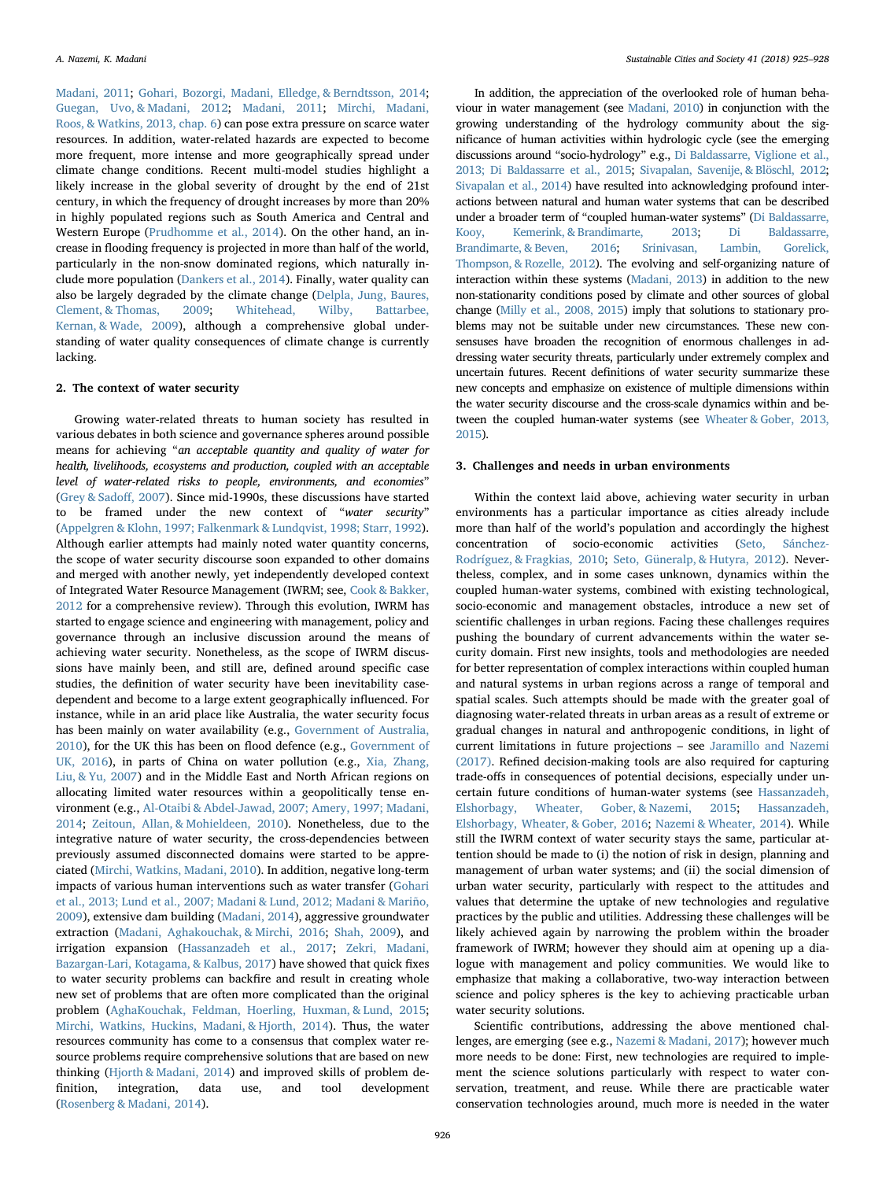[Madani, 2011;](#page-2-11) [Gohari, Bozorgi, Madani, Elledge, & Berndtsson, 2014](#page-2-12); [Guegan, Uvo, & Madani, 2012](#page-2-13); [Madani, 2011](#page-2-14); [Mirchi, Madani,](#page-2-15) [Roos, & Watkins, 2013, chap. 6\)](#page-2-15) can pose extra pressure on scarce water resources. In addition, water-related hazards are expected to become more frequent, more intense and more geographically spread under climate change conditions. Recent multi-model studies highlight a likely increase in the global severity of drought by the end of 21st century, in which the frequency of drought increases by more than 20% in highly populated regions such as South America and Central and Western Europe [\(Prudhomme et al., 2014\)](#page-2-16). On the other hand, an increase in flooding frequency is projected in more than half of the world, particularly in the non-snow dominated regions, which naturally include more population ([Dankers et al., 2014\)](#page-2-17). Finally, water quality can also be largely degraded by the climate change ([Delpla, Jung, Baures,](#page-2-18) [Clement, & Thomas, 2009;](#page-2-18) [Whitehead, Wilby, Battarbee,](#page-3-6) [Kernan, & Wade, 2009\)](#page-3-6), although a comprehensive global understanding of water quality consequences of climate change is currently lacking.

#### 2. The context of water security

Growing water-related threats to human society has resulted in various debates in both science and governance spheres around possible means for achieving "an acceptable quantity and quality of water for health, livelihoods, ecosystems and production, coupled with an acceptable level of water-related risks to people, environments, and economies" ([Grey & Sado](#page-2-19)ff, 2007). Since mid-1990s, these discussions have started to be framed under the new context of "water security" ([Appelgren & Klohn, 1997; Falkenmark & Lundqvist, 1998; Starr, 1992](#page-2-20)). Although earlier attempts had mainly noted water quantity concerns, the scope of water security discourse soon expanded to other domains and merged with another newly, yet independently developed context of Integrated Water Resource Management (IWRM; see, [Cook & Bakker,](#page-2-21) [2012](#page-2-21) for a comprehensive review). Through this evolution, IWRM has started to engage science and engineering with management, policy and governance through an inclusive discussion around the means of achieving water security. Nonetheless, as the scope of IWRM discussions have mainly been, and still are, defined around specific case studies, the definition of water security have been inevitability casedependent and become to a large extent geographically influenced. For instance, while in an arid place like Australia, the water security focus has been mainly on water availability (e.g., [Government of Australia,](#page-2-22) [2010\)](#page-2-22), for the UK this has been on flood defence (e.g., [Government of](#page-2-23) [UK, 2016\)](#page-2-23), in parts of China on water pollution (e.g., [Xia, Zhang,](#page-3-7) [Liu, & Yu, 2007](#page-3-7)) and in the Middle East and North African regions on allocating limited water resources within a geopolitically tense environment (e.g., [Al-Otaibi & Abdel-Jawad, 2007; Amery, 1997; Madani,](#page-2-24) [2014;](#page-2-24) [Zeitoun, Allan, & Mohieldeen, 2010\)](#page-3-8). Nonetheless, due to the integrative nature of water security, the cross-dependencies between previously assumed disconnected domains were started to be appreciated ([Mirchi, Watkins, Madani, 2010\)](#page-2-25). In addition, negative long-term impacts of various human interventions such as water transfer ([Gohari](#page-2-26) [et al., 2013; Lund et al., 2007; Madani & Lund, 2012; Madani & Mariño,](#page-2-26) [2009\)](#page-2-26), extensive dam building [\(Madani, 2014\)](#page-2-27), aggressive groundwater extraction [\(Madani, Aghakouchak, & Mirchi, 2016;](#page-2-28) [Shah, 2009](#page-3-9)), and irrigation expansion ([Hassanzadeh et al., 2017;](#page-2-29) [Zekri, Madani,](#page-3-10) [Bazargan-Lari, Kotagama, & Kalbus, 2017\)](#page-3-10) have showed that quick fixes to water security problems can backfire and result in creating whole new set of problems that are often more complicated than the original problem [\(AghaKouchak, Feldman, Hoerling, Huxman, & Lund, 2015](#page-2-30); [Mirchi, Watkins, Huckins, Madani, & Hjorth, 2014](#page-2-31)). Thus, the water resources community has come to a consensus that complex water resource problems require comprehensive solutions that are based on new thinking [\(Hjorth & Madani, 2014\)](#page-2-32) and improved skills of problem definition, integration, data use, and tool development ([Rosenberg & Madani, 2014](#page-2-33)).

In addition, the appreciation of the overlooked role of human behaviour in water management (see [Madani, 2010](#page-2-34)) in conjunction with the growing understanding of the hydrology community about the significance of human activities within hydrologic cycle (see the emerging discussions around "socio-hydrology" e.g., [Di Baldassarre, Viglione et al.,](#page-2-35) [2013; Di Baldassarre et al., 2015;](#page-2-35) [Sivapalan, Savenije, & Blöschl, 2012](#page-3-11); [Sivapalan et al., 2014](#page-3-12)) have resulted into acknowledging profound interactions between natural and human water systems that can be described under a broader term of "coupled human-water systems" ([Di Baldassarre,](#page-2-36) [Kooy, Kemerink, & Brandimarte, 2013](#page-2-36); [Di Baldassarre,](#page-2-37) [Brandimarte, & Beven, 2016;](#page-2-37) [Srinivasan, Lambin, Gorelick,](#page-3-13) [Thompson, & Rozelle, 2012](#page-3-13)). The evolving and self-organizing nature of interaction within these systems [\(Madani, 2013](#page-2-38)) in addition to the new non-stationarity conditions posed by climate and other sources of global change [\(Milly et al., 2008, 2015](#page-2-39)) imply that solutions to stationary problems may not be suitable under new circumstances. These new consensuses have broaden the recognition of enormous challenges in addressing water security threats, particularly under extremely complex and uncertain futures. Recent definitions of water security summarize these new concepts and emphasize on existence of multiple dimensions within the water security discourse and the cross-scale dynamics within and between the coupled human-water systems (see [Wheater & Gober, 2013,](#page-3-14) [2015\)](#page-3-14).

#### 3. Challenges and needs in urban environments

Within the context laid above, achieving water security in urban environments has a particular importance as cities already include more than half of the world's population and accordingly the highest concentration of socio-economic activities ([Seto, Sánchez-](#page-3-15)[Rodríguez, & Fragkias, 2010;](#page-3-15) [Seto, Güneralp, & Hutyra, 2012](#page-3-16)). Nevertheless, complex, and in some cases unknown, dynamics within the coupled human-water systems, combined with existing technological, socio-economic and management obstacles, introduce a new set of scientific challenges in urban regions. Facing these challenges requires pushing the boundary of current advancements within the water security domain. First new insights, tools and methodologies are needed for better representation of complex interactions within coupled human and natural systems in urban regions across a range of temporal and spatial scales. Such attempts should be made with the greater goal of diagnosing water-related threats in urban areas as a result of extreme or gradual changes in natural and anthropogenic conditions, in light of current limitations in future projections – see [Jaramillo and Nazemi](#page-2-40) [\(2017\).](#page-2-40) Refined decision-making tools are also required for capturing trade-offs in consequences of potential decisions, especially under uncertain future conditions of human-water systems (see [Hassanzadeh,](#page-2-41) [Elshorbagy, Wheater, Gober, & Nazemi, 2015](#page-2-41); [Hassanzadeh,](#page-2-42) [Elshorbagy, Wheater, & Gober, 2016;](#page-2-42) [Nazemi & Wheater, 2014\)](#page-2-43). While still the IWRM context of water security stays the same, particular attention should be made to (i) the notion of risk in design, planning and management of urban water systems; and (ii) the social dimension of urban water security, particularly with respect to the attitudes and values that determine the uptake of new technologies and regulative practices by the public and utilities. Addressing these challenges will be likely achieved again by narrowing the problem within the broader framework of IWRM; however they should aim at opening up a dialogue with management and policy communities. We would like to emphasize that making a collaborative, two-way interaction between science and policy spheres is the key to achieving practicable urban water security solutions.

Scientific contributions, addressing the above mentioned challenges, are emerging (see e.g., [Nazemi & Madani, 2017](#page-2-44)); however much more needs to be done: First, new technologies are required to implement the science solutions particularly with respect to water conservation, treatment, and reuse. While there are practicable water conservation technologies around, much more is needed in the water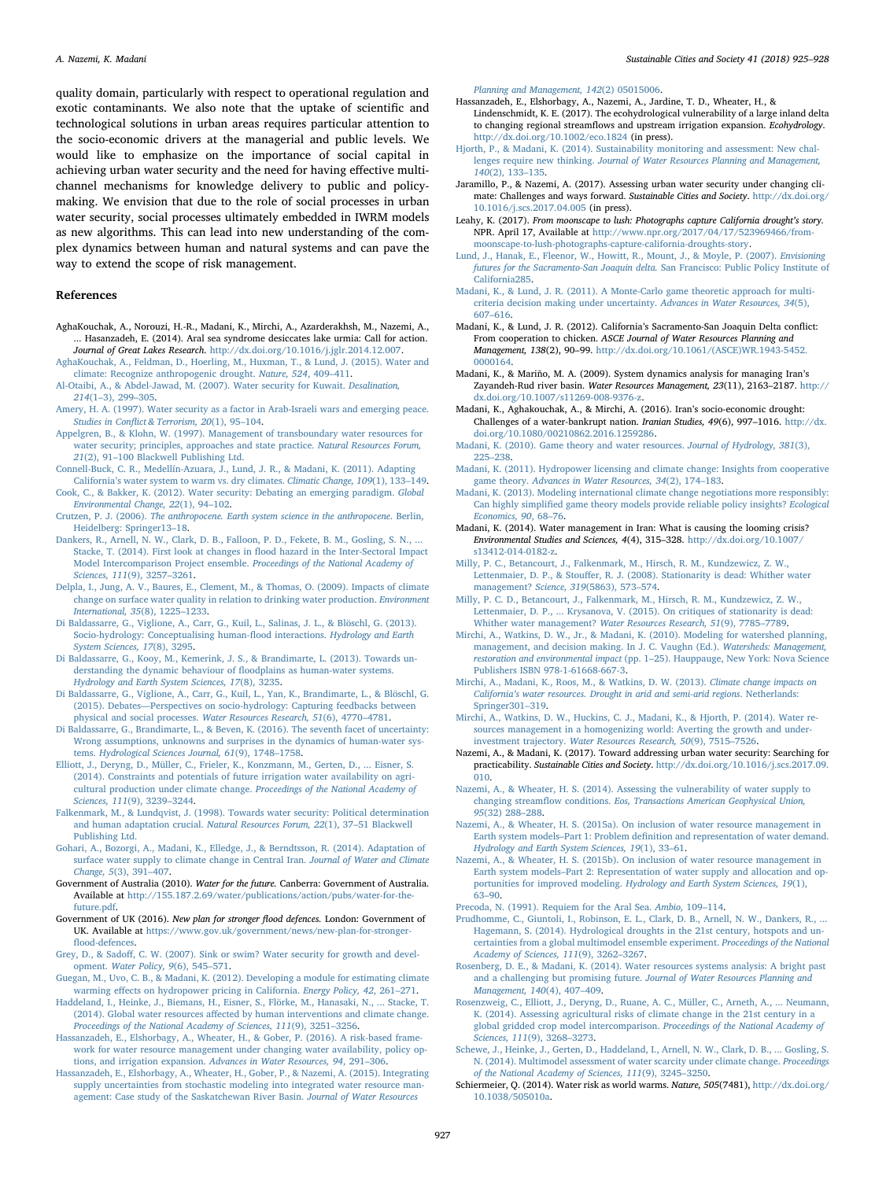quality domain, particularly with respect to operational regulation and exotic contaminants. We also note that the uptake of scientific and technological solutions in urban areas requires particular attention to the socio-economic drivers at the managerial and public levels. We would like to emphasize on the importance of social capital in achieving urban water security and the need for having effective multichannel mechanisms for knowledge delivery to public and policymaking. We envision that due to the role of social processes in urban water security, social processes ultimately embedded in IWRM models as new algorithms. This can lead into new understanding of the complex dynamics between human and natural systems and can pave the way to extend the scope of risk management.

#### References

- <span id="page-2-1"></span>AghaKouchak, A., Norouzi, H.-R., Madani, K., Mirchi, A., Azarderakhsh, M., Nazemi, A., ... Hasanzadeh, E. (2014). Aral sea syndrome desiccates lake urmia: Call for action. Journal of Great Lakes Research. [http://dx.doi.org/10.1016/j.jglr.2014.12.007.](http://dx.doi.org/10.1016/j.jglr.2014.12.007)
- <span id="page-2-30"></span>[AghaKouchak, A., Feldman, D., Hoerling, M., Huxman, T., & Lund, J. \(2015\). Water and](http://refhub.elsevier.com/S2210-6707(17)31205-2/sbref0010) [climate: Recognize anthropogenic drought.](http://refhub.elsevier.com/S2210-6707(17)31205-2/sbref0010) Nature, 524, 409–411.
- <span id="page-2-24"></span>[Al-Otaibi, A., & Abdel-Jawad, M. \(2007\). Water security for Kuwait.](http://refhub.elsevier.com/S2210-6707(17)31205-2/sbref0015) Desalination, 214(1–[3\), 299](http://refhub.elsevier.com/S2210-6707(17)31205-2/sbref0015)–305.
- [Amery, H. A. \(1997\). Water security as a factor in Arab-Israeli wars and emerging peace.](http://refhub.elsevier.com/S2210-6707(17)31205-2/sbref0020) Studies in Confl[ict & Terrorism, 20](http://refhub.elsevier.com/S2210-6707(17)31205-2/sbref0020)(1), 95–104.
- <span id="page-2-20"></span>[Appelgren, B., & Klohn, W. \(1997\). Management of transboundary water resources for](http://refhub.elsevier.com/S2210-6707(17)31205-2/sbref0025) [water security; principles, approaches and state practice.](http://refhub.elsevier.com/S2210-6707(17)31205-2/sbref0025) Natural Resources Forum, 21(2), 91–[100 Blackwell Publishing Ltd.](http://refhub.elsevier.com/S2210-6707(17)31205-2/sbref0025)
- <span id="page-2-11"></span>[Connell-Buck, C. R., Medellín-Azuara, J., Lund, J. R., & Madani, K. \(2011\). Adapting](http://refhub.elsevier.com/S2210-6707(17)31205-2/sbref0030) California'[s water system to warm vs. dry climates.](http://refhub.elsevier.com/S2210-6707(17)31205-2/sbref0030) Climatic Change, 109(1), 133–149.

<span id="page-2-21"></span>[Cook, C., & Bakker, K. \(2012\). Water security: Debating an emerging paradigm.](http://refhub.elsevier.com/S2210-6707(17)31205-2/sbref0035) Global [Environmental Change, 22](http://refhub.elsevier.com/S2210-6707(17)31205-2/sbref0035)(1), 94–102. Crutzen, P. J. (2006). [The anthropocene. Earth system science in the anthropocene](http://refhub.elsevier.com/S2210-6707(17)31205-2/sbref0040). Berlin,

- <span id="page-2-0"></span>[Heidelberg: Springer13](http://refhub.elsevier.com/S2210-6707(17)31205-2/sbref0040)–18.
- <span id="page-2-17"></span>[Dankers, R., Arnell, N. W., Clark, D. B., Falloon, P. D., Fekete, B. M., Gosling, S. N., ...](http://refhub.elsevier.com/S2210-6707(17)31205-2/sbref0045) [Stacke, T. \(2014\). First look at changes in](http://refhub.elsevier.com/S2210-6707(17)31205-2/sbref0045) flood hazard in the Inter-Sectoral Impact [Model Intercomparison Project ensemble.](http://refhub.elsevier.com/S2210-6707(17)31205-2/sbref0045) Proceedings of the National Academy of [Sciences, 111](http://refhub.elsevier.com/S2210-6707(17)31205-2/sbref0045)(9), 3257–3261.
- <span id="page-2-18"></span>[Delpla, I., Jung, A. V., Baures, E., Clement, M., & Thomas, O. \(2009\). Impacts of climate](http://refhub.elsevier.com/S2210-6707(17)31205-2/sbref0050) [change on surface water quality in relation to drinking water production.](http://refhub.elsevier.com/S2210-6707(17)31205-2/sbref0050) Environment [International, 35](http://refhub.elsevier.com/S2210-6707(17)31205-2/sbref0050)(8), 1225–1233.
- <span id="page-2-35"></span>[Di Baldassarre, G., Viglione, A., Carr, G., Kuil, L., Salinas, J. L., & Blöschl, G. \(2013\).](http://refhub.elsevier.com/S2210-6707(17)31205-2/sbref0055) [Socio-hydrology: Conceptualising human-](http://refhub.elsevier.com/S2210-6707(17)31205-2/sbref0055)flood interactions. Hydrology and Earth [System Sciences, 17](http://refhub.elsevier.com/S2210-6707(17)31205-2/sbref0055)(8), 3295.
- <span id="page-2-36"></span>[Di Baldassarre, G., Kooy, M., Kemerink, J. S., & Brandimarte, L. \(2013\). Towards un](http://refhub.elsevier.com/S2210-6707(17)31205-2/sbref0060)[derstanding the dynamic behaviour of](http://refhub.elsevier.com/S2210-6707(17)31205-2/sbref0060) floodplains as human-water systems. [Hydrology and Earth System Sciences, 17](http://refhub.elsevier.com/S2210-6707(17)31205-2/sbref0060)(8), 3235.
- [Di Baldassarre, G., Viglione, A., Carr, G., Kuil, L., Yan, K., Brandimarte, L., & Blöschl, G.](http://refhub.elsevier.com/S2210-6707(17)31205-2/sbref0065) (2015). Debates—[Perspectives on socio-hydrology: Capturing feedbacks between](http://refhub.elsevier.com/S2210-6707(17)31205-2/sbref0065) [physical and social processes.](http://refhub.elsevier.com/S2210-6707(17)31205-2/sbref0065) Water Resources Research, 51(6), 4770–4781.
- <span id="page-2-37"></span>Di [Baldassarre, G., Brandimarte, L., & Beven, K. \(2016\). The seventh facet of uncertainty:](http://refhub.elsevier.com/S2210-6707(17)31205-2/sbref0070) [Wrong assumptions, unknowns and surprises in the dynamics of human-water sys](http://refhub.elsevier.com/S2210-6707(17)31205-2/sbref0070)tems. [Hydrological Sciences Journal, 61](http://refhub.elsevier.com/S2210-6707(17)31205-2/sbref0070)(9), 1748–1758.
- <span id="page-2-6"></span>[Elliott, J., Deryng, D., Müller, C., Frieler, K., Konzmann, M., Gerten, D., ... Eisner, S.](http://refhub.elsevier.com/S2210-6707(17)31205-2/sbref0075) [\(2014\). Constraints and potentials of future irrigation water availability on agri](http://refhub.elsevier.com/S2210-6707(17)31205-2/sbref0075)[cultural production under climate change.](http://refhub.elsevier.com/S2210-6707(17)31205-2/sbref0075) Proceedings of the National Academy of [Sciences, 111](http://refhub.elsevier.com/S2210-6707(17)31205-2/sbref0075)(9), 3239–3244.
- [Falkenmark, M., & Lundqvist, J. \(1998\). Towards water security: Political determination](http://refhub.elsevier.com/S2210-6707(17)31205-2/sbref0080) [and human adaptation crucial.](http://refhub.elsevier.com/S2210-6707(17)31205-2/sbref0080) Natural Resources Forum, 22(1), 37–51 Blackwell [Publishing Ltd.](http://refhub.elsevier.com/S2210-6707(17)31205-2/sbref0080)
- <span id="page-2-12"></span>[Gohari, A., Bozorgi, A., Madani, K., Elledge, J., & Berndtsson, R. \(2014\). Adaptation of](http://refhub.elsevier.com/S2210-6707(17)31205-2/sbref0085) [surface water supply to climate change in Central Iran.](http://refhub.elsevier.com/S2210-6707(17)31205-2/sbref0085) Journal of Water and Climate [Change, 5](http://refhub.elsevier.com/S2210-6707(17)31205-2/sbref0085)(3), 391–407.
- <span id="page-2-22"></span>Government of Australia (2010). Water for the future. Canberra: Government of Australia. Available at [http://155.187.2.69/water/publications/action/pubs/water-for-the](http://155.187.2.69/water/publications/action/pubs/water-for-the-future.pdf)[future.pdf.](http://155.187.2.69/water/publications/action/pubs/water-for-the-future.pdf)
- <span id="page-2-23"></span>Government of UK (2016). New plan for stronger flood defences. London: Government of UK. Available at [https://www.gov.uk/government/news/new-plan-for-stronger](https://www.gov.uk/government/news/new-plan-for-stronger-flood-defences)fl[ood-defences](https://www.gov.uk/government/news/new-plan-for-stronger-flood-defences).
- <span id="page-2-19"></span>Grey, D., & Sadoff[, C. W. \(2007\). Sink or swim? Water security for growth and devel](http://refhub.elsevier.com/S2210-6707(17)31205-2/sbref0100)opment. [Water Policy, 9](http://refhub.elsevier.com/S2210-6707(17)31205-2/sbref0100)(6), 545–571.
- <span id="page-2-13"></span>[Guegan, M., Uvo, C. B., & Madani, K. \(2012\). Developing a module for estimating climate](http://refhub.elsevier.com/S2210-6707(17)31205-2/sbref0105) warming eff[ects on hydropower pricing in California.](http://refhub.elsevier.com/S2210-6707(17)31205-2/sbref0105) Energy Policy, 42, 261–271.
- <span id="page-2-7"></span>[Haddeland, I., Heinke, J., Biemans, H., Eisner, S., Flörke, M., Hanasaki, N., ... Stacke, T.](http://refhub.elsevier.com/S2210-6707(17)31205-2/sbref0110) (2014). Global water resources aff[ected by human interventions and climate change.](http://refhub.elsevier.com/S2210-6707(17)31205-2/sbref0110) [Proceedings of the National Academy of Sciences, 111](http://refhub.elsevier.com/S2210-6707(17)31205-2/sbref0110)(9), 3251–3256.
- <span id="page-2-42"></span>[Hassanzadeh, E., Elshorbagy, A., Wheater, H., & Gober, P. \(2016\). A risk-based frame](http://refhub.elsevier.com/S2210-6707(17)31205-2/sbref0115)[work for water resource management under changing water availability, policy op](http://refhub.elsevier.com/S2210-6707(17)31205-2/sbref0115)tions, and irrigation expansion. [Advances in Water Resources, 94](http://refhub.elsevier.com/S2210-6707(17)31205-2/sbref0115), 291–306.
- <span id="page-2-41"></span>[Hassanzadeh, E., Elshorbagy, A., Wheater, H., Gober, P., & Nazemi, A. \(2015\). Integrating](http://refhub.elsevier.com/S2210-6707(17)31205-2/sbref0120) [supply uncertainties from stochastic modeling into integrated water resource man](http://refhub.elsevier.com/S2210-6707(17)31205-2/sbref0120)[agement: Case study of the Saskatchewan River Basin.](http://refhub.elsevier.com/S2210-6707(17)31205-2/sbref0120) Journal of Water Resources

[Planning and Management, 142](http://refhub.elsevier.com/S2210-6707(17)31205-2/sbref0120)(2) 05015006.

- <span id="page-2-29"></span>Hassanzadeh, E., Elshorbagy, A., Nazemi, A., Jardine, T. D., Wheater, H., & Lindenschmidt, K. E. (2017). The ecohydrological vulnerability of a large inland delta to changing regional streamflows and upstream irrigation expansion. Ecohydrology. <http://dx.doi.org/10.1002/eco.1824> (in press).
- <span id="page-2-32"></span>Hjorth, [P., & Madani, K. \(2014\). Sustainability monitoring and assessment: New chal](http://refhub.elsevier.com/S2210-6707(17)31205-2/sbref0130)lenges require new thinking. [Journal of Water Resources Planning and Management,](http://refhub.elsevier.com/S2210-6707(17)31205-2/sbref0130) 140[\(2\), 133](http://refhub.elsevier.com/S2210-6707(17)31205-2/sbref0130)–135.
- <span id="page-2-40"></span>Jaramillo, P., & Nazemi, A. (2017). Assessing urban water security under changing climate: Challenges and ways forward. Sustainable Cities and Society. [http://dx.doi.org/](http://dx.doi.org/10.1016/j.scs.2017.04.005) [10.1016/j.scs.2017.04.005](http://dx.doi.org/10.1016/j.scs.2017.04.005) (in press).
- <span id="page-2-3"></span>Leahy, K. (2017). From moonscape to lush: Photographs capture California drought's story. NPR. April 17, Available at [http://www.npr.org/2017/04/17/523969466/from](http://www.npr.org/2017/04/17/523969466/from-moonscape-to-lush-photographs-capture-california-droughts-story)[moonscape-to-lush-photographs-capture-california-droughts-story.](http://www.npr.org/2017/04/17/523969466/from-moonscape-to-lush-photographs-capture-california-droughts-story)
- <span id="page-2-26"></span>[Lund, J., Hanak, E., Fleenor, W., Howitt, R., Mount, J., & Moyle, P. \(2007\).](http://refhub.elsevier.com/S2210-6707(17)31205-2/sbref0145) Envisioning [futures for the Sacramento-San Joaquin delta.](http://refhub.elsevier.com/S2210-6707(17)31205-2/sbref0145) San Francisco: Public Policy Institute of [California285](http://refhub.elsevier.com/S2210-6707(17)31205-2/sbref0145).
- <span id="page-2-2"></span>[Madani, K., & Lund, J. R. \(2011\). A Monte-Carlo game theoretic approach for multi](http://refhub.elsevier.com/S2210-6707(17)31205-2/sbref0150)[criteria decision making under uncertainty.](http://refhub.elsevier.com/S2210-6707(17)31205-2/sbref0150) Advances in Water Resources, 34(5), 607–[616](http://refhub.elsevier.com/S2210-6707(17)31205-2/sbref0150).
- Madani, K., & Lund, J. R. (2012). California's Sacramento-San Joaquin Delta conflict: From cooperation to chicken. ASCE Journal of Water Resources Planning and Management, 138(2), 90–99. [http://dx.doi.org/10.1061/\(ASCE\)WR.1943-5452.](http://dx.doi.org/10.1061/(ASCE)WR.1943-5452.0000164) [0000164.](http://dx.doi.org/10.1061/(ASCE)WR.1943-5452.0000164)
- Madani, K., & Mariño, M. A. (2009). System dynamics analysis for managing Iran's Zayandeh-Rud river basin. Water Resources Management, 23(11), 2163-2187. [http://](http://dx.doi.org/10.1007/s11269-008-9376-z) [dx.doi.org/10.1007/s11269-008-9376-z.](http://dx.doi.org/10.1007/s11269-008-9376-z)
- <span id="page-2-28"></span>Madani, K., Aghakouchak, A., & Mirchi, A. (2016). Iran's socio-economic drought: Challenges of a water-bankrupt nation. Iranian Studies, 49(6), 997–1016. [http://dx.](http://dx.doi.org/10.1080/00210862.2016.1259286) [doi.org/10.1080/00210862.2016.1259286.](http://dx.doi.org/10.1080/00210862.2016.1259286)
- <span id="page-2-34"></span>[Madani, K. \(2010\). Game theory and water resources.](http://refhub.elsevier.com/S2210-6707(17)31205-2/sbref0170) Journal of Hydrology, 381(3), 225–[238](http://refhub.elsevier.com/S2210-6707(17)31205-2/sbref0170).
- <span id="page-2-14"></span>[Madani, K. \(2011\). Hydropower licensing and climate change: Insights from cooperative](http://refhub.elsevier.com/S2210-6707(17)31205-2/sbref0175) game theory. [Advances in Water Resources, 34](http://refhub.elsevier.com/S2210-6707(17)31205-2/sbref0175)(2), 174–183.
- <span id="page-2-38"></span>[Madani, K. \(2013\). Modeling international climate change negotiations more responsibly:](http://refhub.elsevier.com/S2210-6707(17)31205-2/sbref0180) Can highly simplifi[ed game theory models provide reliable policy insights?](http://refhub.elsevier.com/S2210-6707(17)31205-2/sbref0180) Ecological [Economics, 90](http://refhub.elsevier.com/S2210-6707(17)31205-2/sbref0180), 68–76.
- <span id="page-2-27"></span>Madani, K. (2014). Water management in Iran: What is causing the looming crisis? Environmental Studies and Sciences, 4(4), 315–328. [http://dx.doi.org/10.1007/](http://dx.doi.org/10.1007/s13412-014-0182-z) [s13412-014-0182-z](http://dx.doi.org/10.1007/s13412-014-0182-z).
- <span id="page-2-39"></span>Milly, [P. C., Betancourt, J., Falkenmark, M., Hirsch, R. M., Kundzewicz, Z. W.,](http://refhub.elsevier.com/S2210-6707(17)31205-2/sbref0190) Lettenmaier, D. P., & Stouff[er, R. J. \(2008\). Stationarity is dead: Whither water](http://refhub.elsevier.com/S2210-6707(17)31205-2/sbref0190) [management?](http://refhub.elsevier.com/S2210-6707(17)31205-2/sbref0190) Science, 319(5863), 573–574.
- [Milly, P. C. D., Betancourt, J., Falkenmark, M., Hirsch, R. M., Kundzewicz, Z. W.,](http://refhub.elsevier.com/S2210-6707(17)31205-2/sbref0195) [Lettenmaier, D. P., ... Krysanova, V. \(2015\). On critiques of stationarity is dead:](http://refhub.elsevier.com/S2210-6707(17)31205-2/sbref0195) [Whither water management?](http://refhub.elsevier.com/S2210-6707(17)31205-2/sbref0195) Water Resources Research, 51(9), 7785–7789.
- <span id="page-2-25"></span>[Mirchi, A., Watkins, D. W., Jr., & Madani, K. \(2010\). Modeling for watershed planning,](http://refhub.elsevier.com/S2210-6707(17)31205-2/sbref0200) [management, and decision making. In J. C. Vaughn \(Ed.\).](http://refhub.elsevier.com/S2210-6707(17)31205-2/sbref0200) Watersheds: Management, restoration and environmental impact (pp. 1–[25\). Hauppauge, New York: Nova Science](http://refhub.elsevier.com/S2210-6707(17)31205-2/sbref0200) [Publishers ISBN 978-1-61668-667-3.](http://refhub.elsevier.com/S2210-6707(17)31205-2/sbref0200)
- <span id="page-2-15"></span>[Mirchi, A., Madani, K., Roos, M., & Watkins, D. W. \(2013\).](http://refhub.elsevier.com/S2210-6707(17)31205-2/sbref0205) Climate change impacts on California'[s water resources. Drought in arid and semi-arid regions](http://refhub.elsevier.com/S2210-6707(17)31205-2/sbref0205). Netherlands: [Springer301](http://refhub.elsevier.com/S2210-6707(17)31205-2/sbref0205)–319.
- <span id="page-2-31"></span>[Mirchi, A., Watkins, D. W., Huckins, C. J., Madani, K., & Hjorth, P. \(2014\). Water re](http://refhub.elsevier.com/S2210-6707(17)31205-2/sbref0210)[sources management in a homogenizing world: Averting the growth and under](http://refhub.elsevier.com/S2210-6707(17)31205-2/sbref0210)investment trajectory. [Water Resources Research, 50](http://refhub.elsevier.com/S2210-6707(17)31205-2/sbref0210)(9), 7515–7526.
- <span id="page-2-44"></span>Nazemi, A., & Madani, K. (2017). Toward addressing urban water security: Searching for practicability. Sustainable Cities and Society. [http://dx.doi.org/10.1016/j.scs.2017.09.](http://dx.doi.org/10.1016/j.scs.2017.09.010) [010](http://dx.doi.org/10.1016/j.scs.2017.09.010).
- <span id="page-2-43"></span>[Nazemi, A., & Wheater, H. S. \(2014\). Assessing the vulnerability of water supply to](http://refhub.elsevier.com/S2210-6707(17)31205-2/sbref0220) changing streamflow conditions. [Eos, Transactions American Geophysical Union,](http://refhub.elsevier.com/S2210-6707(17)31205-2/sbref0220) 95[\(32\) 288](http://refhub.elsevier.com/S2210-6707(17)31205-2/sbref0220)–288.
- <span id="page-2-8"></span>[Nazemi, A., & Wheater, H. S. \(2015a\). On inclusion of water resource management in](http://refhub.elsevier.com/S2210-6707(17)31205-2/sbref0225) Earth system models–Part 1: Problem defi[nition and representation of water demand.](http://refhub.elsevier.com/S2210-6707(17)31205-2/sbref0225) [Hydrology and Earth System Sciences, 19](http://refhub.elsevier.com/S2210-6707(17)31205-2/sbref0225)(1), 33–61.
- <span id="page-2-9"></span>[Nazemi, A., & Wheater, H. S. \(2015b\). On inclusion of water resource management in](http://refhub.elsevier.com/S2210-6707(17)31205-2/sbref0230) Earth system models–[Part 2: Representation of water supply and allocation and op](http://refhub.elsevier.com/S2210-6707(17)31205-2/sbref0230)portunities for improved modeling. [Hydrology and Earth System Sciences, 19](http://refhub.elsevier.com/S2210-6707(17)31205-2/sbref0230)(1), 63–[90](http://refhub.elsevier.com/S2210-6707(17)31205-2/sbref0230).
- [Precoda, N. \(1991\). Requiem for the Aral Sea.](http://refhub.elsevier.com/S2210-6707(17)31205-2/sbref0235) Ambio, 109–114.
- <span id="page-2-16"></span>[Prudhomme, C., Giuntoli, I., Robinson, E. L., Clark, D. B., Arnell, N. W., Dankers, R., ...](http://refhub.elsevier.com/S2210-6707(17)31205-2/sbref0240) [Hagemann, S. \(2014\). Hydrological droughts in the 21st century, hotspots and un](http://refhub.elsevier.com/S2210-6707(17)31205-2/sbref0240)[certainties from a global multimodel ensemble experiment.](http://refhub.elsevier.com/S2210-6707(17)31205-2/sbref0240) Proceedings of the National [Academy of Sciences, 111](http://refhub.elsevier.com/S2210-6707(17)31205-2/sbref0240)(9), 3262–3267.
- <span id="page-2-33"></span>Rosenberg, [D. E., & Madani, K. \(2014\). Water resources systems analysis: A bright past](http://refhub.elsevier.com/S2210-6707(17)31205-2/sbref0245) [and a challenging but promising future.](http://refhub.elsevier.com/S2210-6707(17)31205-2/sbref0245) Journal of Water Resources Planning and [Management, 140](http://refhub.elsevier.com/S2210-6707(17)31205-2/sbref0245)(4), 407–409.
- <span id="page-2-10"></span>[Rosenzweig, C., Elliott, J., Deryng, D., Ruane, A. C., Müller, C., Arneth, A., ... Neumann,](http://refhub.elsevier.com/S2210-6707(17)31205-2/sbref0250) [K. \(2014\). Assessing agricultural risks of climate change in the 21st century in a](http://refhub.elsevier.com/S2210-6707(17)31205-2/sbref0250) [global gridded crop model intercomparison.](http://refhub.elsevier.com/S2210-6707(17)31205-2/sbref0250) Proceedings of the National Academy of [Sciences, 111](http://refhub.elsevier.com/S2210-6707(17)31205-2/sbref0250)(9), 3268–3273.
- <span id="page-2-5"></span>[Schewe, J., Heinke, J., Gerten, D., Haddeland, I., Arnell, N. W., Clark, D. B., ... Gosling, S.](http://refhub.elsevier.com/S2210-6707(17)31205-2/sbref0255) [N. \(2014\). Multimodel assessment of water scarcity under climate change.](http://refhub.elsevier.com/S2210-6707(17)31205-2/sbref0255) Proceedings [of the National Academy of Sciences, 111](http://refhub.elsevier.com/S2210-6707(17)31205-2/sbref0255)(9), 3245–3250.
- <span id="page-2-4"></span>Schiermeier, Q. (2014). Water risk as world warms. Nature, 505(7481), [http://dx.doi.org/](http://dx.doi.org/10.1038/505010a) [10.1038/505010a.](http://dx.doi.org/10.1038/505010a)